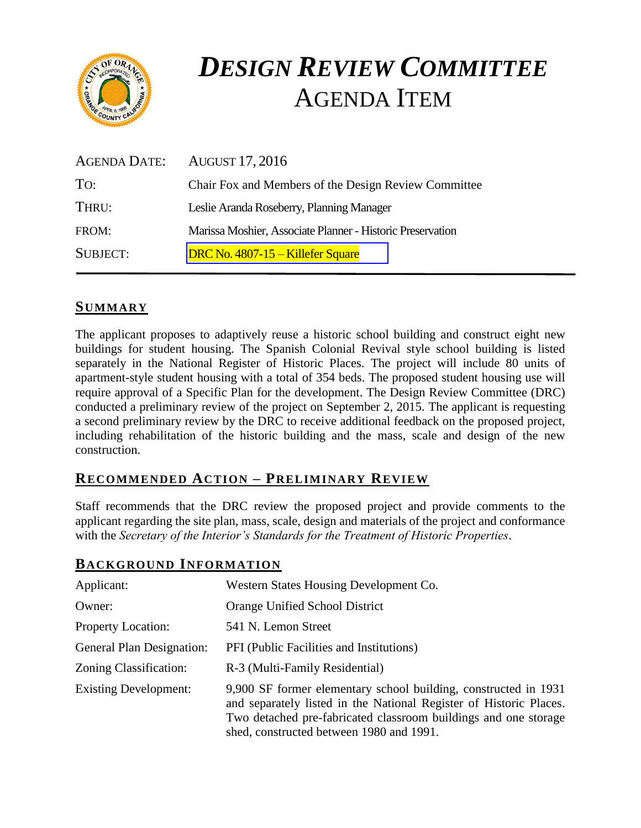

# *DESIGN REVIEW COMMITTEE*  AGENDA ITEM

|                 | AGENDA DATE: AUGUST 17, 2016                               |
|-----------------|------------------------------------------------------------|
| To:             | Chair Fox and Members of the Design Review Committee       |
| THRU:           | Leslie Aranda Roseberry, Planning Manager                  |
| FROM:           | Marissa Moshier, Associate Planner - Historic Preservation |
| <b>SUBJECT:</b> | DRC No. 4807-15 – Killefer Square                          |

## **SUMMARY**

The applicant proposes to adaptively reuse a historic school building and construct eight new buildings for student housing. The Spanish Colonial Revival style school building is listed separately in the National Register of Historic Places. The project will include 80 units of apartment-style student housing with a total of 354 beds. The proposed student housing use will require approval of a Specific Plan for the development. The Design Review Committee (DRC) conducted a preliminary review of the project on September 2, 2015. The applicant is requesting a second preliminary review by the DRC to receive additional feedback on the proposed project, including rehabilitation of the historic building and the mass, scale and design of the new construction.

### **RECOMMENDED ACTION – PRELIMINARY REVIEW**

Staff recommends that the DRC review the proposed project and provide comments to the applicant regarding the site plan, mass, scale, design and materials of the project and conformance with the *Secretary of the Interior's Standards for the Treatment of Historic Properties*.

shed, constructed between 1980 and 1991.

## Applicant: Western States Housing Development Co. Owner: Orange Unified School District Property Location: 541 N. Lemon Street General Plan Designation: PFI (Public Facilities and Institutions) Zoning Classification: R-3 (Multi-Family Residential) Existing Development: 9,900 SF former elementary school building, constructed in 1931 and separately listed in the National Register of Historic Places. Two detached pre-fabricated classroom buildings and one storage

## **BACKGROUND INFORMATION**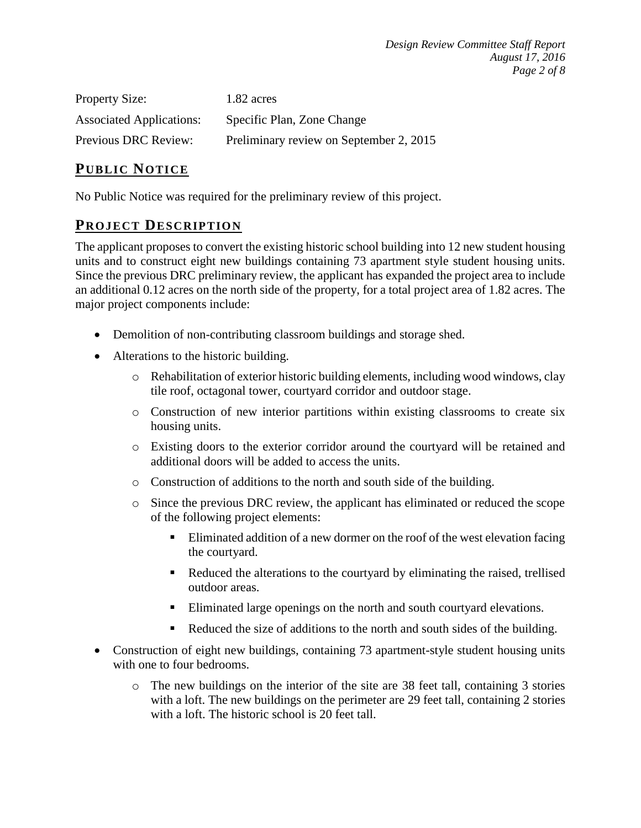| <b>Property Size:</b>           | 1.82 acres                              |
|---------------------------------|-----------------------------------------|
| <b>Associated Applications:</b> | Specific Plan, Zone Change              |
| Previous DRC Review:            | Preliminary review on September 2, 2015 |

#### **PUB LIC NOTICE**

No Public Notice was required for the preliminary review of this project.

#### **PROJECT DESCRIP TION**

The applicant proposes to convert the existing historic school building into 12 new student housing units and to construct eight new buildings containing 73 apartment style student housing units. Since the previous DRC preliminary review, the applicant has expanded the project area to include an additional 0.12 acres on the north side of the property, for a total project area of 1.82 acres. The major project components include:

- Demolition of non-contributing classroom buildings and storage shed.
- Alterations to the historic building.
	- $\circ$  Rehabilitation of exterior historic building elements, including wood windows, clay tile roof, octagonal tower, courtyard corridor and outdoor stage.
	- o Construction of new interior partitions within existing classrooms to create six housing units.
	- o Existing doors to the exterior corridor around the courtyard will be retained and additional doors will be added to access the units.
	- o Construction of additions to the north and south side of the building.
	- o Since the previous DRC review, the applicant has eliminated or reduced the scope of the following project elements:
		- Eliminated addition of a new dormer on the roof of the west elevation facing the courtyard.
		- Reduced the alterations to the courtyard by eliminating the raised, trellised outdoor areas.
		- Eliminated large openings on the north and south courtyard elevations.
		- Reduced the size of additions to the north and south sides of the building.
- Construction of eight new buildings, containing 73 apartment-style student housing units with one to four bedrooms.
	- o The new buildings on the interior of the site are 38 feet tall, containing 3 stories with a loft. The new buildings on the perimeter are 29 feet tall, containing 2 stories with a loft. The historic school is 20 feet tall.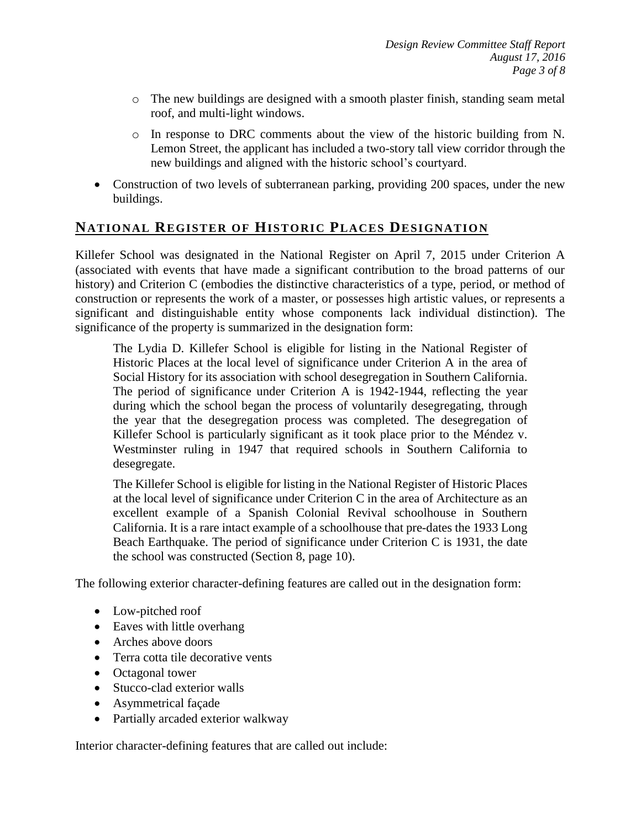- o The new buildings are designed with a smooth plaster finish, standing seam metal roof, and multi-light windows.
- o In response to DRC comments about the view of the historic building from N. Lemon Street, the applicant has included a two-story tall view corridor through the new buildings and aligned with the historic school's courtyard.
- Construction of two levels of subterranean parking, providing 200 spaces, under the new buildings.

## **NATIONAL REGISTER OF HISTORIC PLACES DESIGNATION**

Killefer School was designated in the National Register on April 7, 2015 under Criterion A (associated with events that have made a significant contribution to the broad patterns of our history) and Criterion C (embodies the distinctive characteristics of a type, period, or method of construction or represents the work of a master, or possesses high artistic values, or represents a significant and distinguishable entity whose components lack individual distinction). The significance of the property is summarized in the designation form:

The Lydia D. Killefer School is eligible for listing in the National Register of Historic Places at the local level of significance under Criterion A in the area of Social History for its association with school desegregation in Southern California. The period of significance under Criterion A is 1942-1944, reflecting the year during which the school began the process of voluntarily desegregating, through the year that the desegregation process was completed. The desegregation of Killefer School is particularly significant as it took place prior to the Méndez v. Westminster ruling in 1947 that required schools in Southern California to desegregate.

The Killefer School is eligible for listing in the National Register of Historic Places at the local level of significance under Criterion C in the area of Architecture as an excellent example of a Spanish Colonial Revival schoolhouse in Southern California. It is a rare intact example of a schoolhouse that pre-dates the 1933 Long Beach Earthquake. The period of significance under Criterion C is 1931, the date the school was constructed (Section 8, page 10).

The following exterior character-defining features are called out in the designation form:

- Low-pitched roof
- Eaves with little overhang
- Arches above doors
- Terra cotta tile decorative vents
- Octagonal tower
- Stucco-clad exterior walls
- Asymmetrical façade
- Partially arcaded exterior walkway

Interior character-defining features that are called out include: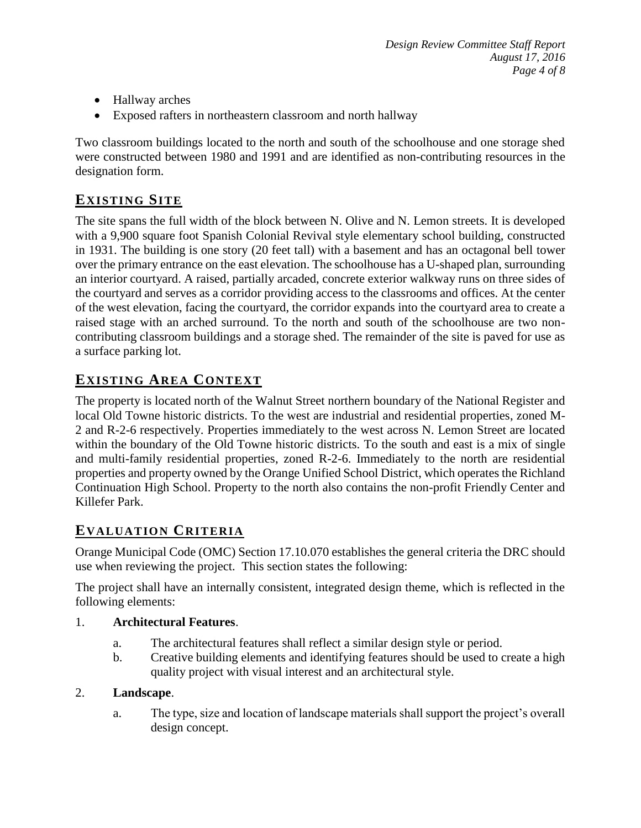- Hallway arches
- Exposed rafters in northeastern classroom and north hallway

Two classroom buildings located to the north and south of the schoolhouse and one storage shed were constructed between 1980 and 1991 and are identified as non-contributing resources in the designation form.

## **EXISTING SITE**

The site spans the full width of the block between N. Olive and N. Lemon streets. It is developed with a 9,900 square foot Spanish Colonial Revival style elementary school building, constructed in 1931. The building is one story (20 feet tall) with a basement and has an octagonal bell tower over the primary entrance on the east elevation. The schoolhouse has a U-shaped plan, surrounding an interior courtyard. A raised, partially arcaded, concrete exterior walkway runs on three sides of the courtyard and serves as a corridor providing access to the classrooms and offices. At the center of the west elevation, facing the courtyard, the corridor expands into the courtyard area to create a raised stage with an arched surround. To the north and south of the schoolhouse are two noncontributing classroom buildings and a storage shed. The remainder of the site is paved for use as a surface parking lot.

## **EXISTING AREA CONTEXT**

The property is located north of the Walnut Street northern boundary of the National Register and local Old Towne historic districts. To the west are industrial and residential properties, zoned M-2 and R-2-6 respectively. Properties immediately to the west across N. Lemon Street are located within the boundary of the Old Towne historic districts. To the south and east is a mix of single and multi-family residential properties, zoned R-2-6. Immediately to the north are residential properties and property owned by the Orange Unified School District, which operates the Richland Continuation High School. Property to the north also contains the non-profit Friendly Center and Killefer Park.

## **EVALUATION CRITERIA**

Orange Municipal Code (OMC) Section 17.10.070 establishes the general criteria the DRC should use when reviewing the project. This section states the following:

The project shall have an internally consistent, integrated design theme, which is reflected in the following elements:

#### 1. **Architectural Features**.

- a. The architectural features shall reflect a similar design style or period.
- b. Creative building elements and identifying features should be used to create a high quality project with visual interest and an architectural style.

#### 2. **Landscape**.

a. The type, size and location of landscape materials shall support the project's overall design concept.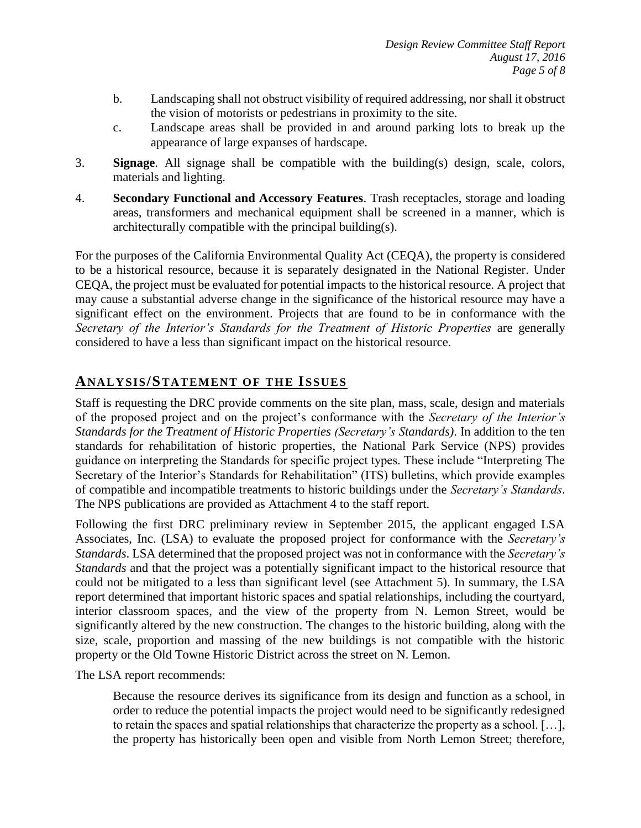- b. Landscaping shall not obstruct visibility of required addressing, nor shall it obstruct the vision of motorists or pedestrians in proximity to the site.
- c. Landscape areas shall be provided in and around parking lots to break up the appearance of large expanses of hardscape.
- 3. **Signage**. All signage shall be compatible with the building(s) design, scale, colors, materials and lighting.
- 4. **Secondary Functional and Accessory Features**. Trash receptacles, storage and loading areas, transformers and mechanical equipment shall be screened in a manner, which is architecturally compatible with the principal building(s).

For the purposes of the California Environmental Quality Act (CEQA), the property is considered to be a historical resource, because it is separately designated in the National Register. Under CEQA, the project must be evaluated for potential impacts to the historical resource. A project that may cause a substantial adverse change in the significance of the historical resource may have a significant effect on the environment. Projects that are found to be in conformance with the *Secretary of the Interior's Standards for the Treatment of Historic Properties* are generally considered to have a less than significant impact on the historical resource.

## **ANALY SIS/STATEMENT OF THE ISSUES**

Staff is requesting the DRC provide comments on the site plan, mass, scale, design and materials of the proposed project and on the project's conformance with the *Secretary of the Interior's Standards for the Treatment of Historic Properties (Secretary's Standards)*. In addition to the ten standards for rehabilitation of historic properties, the National Park Service (NPS) provides guidance on interpreting the Standards for specific project types. These include "Interpreting The Secretary of the Interior's Standards for Rehabilitation" (ITS) bulletins, which provide examples of compatible and incompatible treatments to historic buildings under the *Secretary's Standards*. The NPS publications are provided as Attachment 4 to the staff report.

Following the first DRC preliminary review in September 2015, the applicant engaged LSA Associates, Inc. (LSA) to evaluate the proposed project for conformance with the *Secretary's Standards*. LSA determined that the proposed project was not in conformance with the *Secretary's Standards* and that the project was a potentially significant impact to the historical resource that could not be mitigated to a less than significant level (see Attachment 5). In summary, the LSA report determined that important historic spaces and spatial relationships, including the courtyard, interior classroom spaces, and the view of the property from N. Lemon Street, would be significantly altered by the new construction. The changes to the historic building, along with the size, scale, proportion and massing of the new buildings is not compatible with the historic property or the Old Towne Historic District across the street on N. Lemon.

The LSA report recommends:

Because the resource derives its significance from its design and function as a school, in order to reduce the potential impacts the project would need to be significantly redesigned to retain the spaces and spatial relationships that characterize the property as a school. […], the property has historically been open and visible from North Lemon Street; therefore,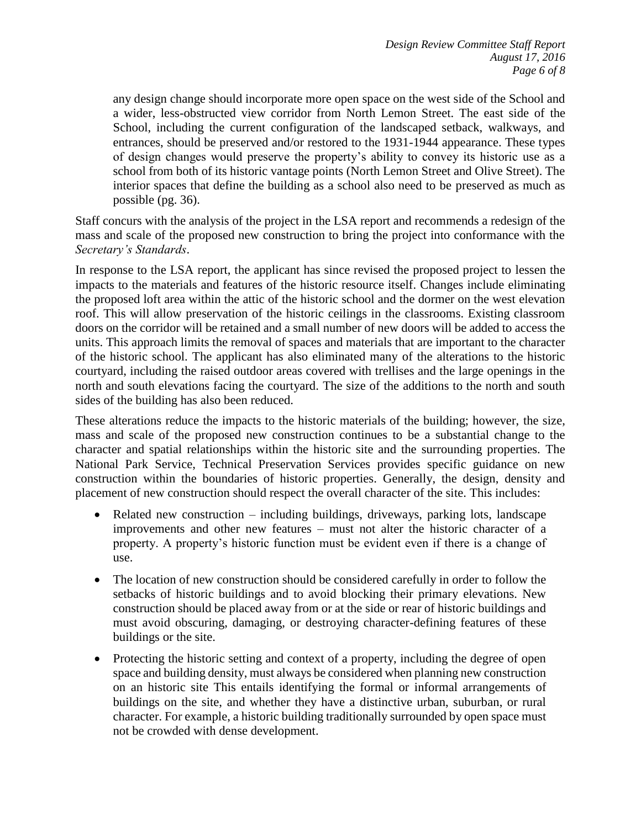any design change should incorporate more open space on the west side of the School and a wider, less-obstructed view corridor from North Lemon Street. The east side of the School, including the current configuration of the landscaped setback, walkways, and entrances, should be preserved and/or restored to the 1931-1944 appearance. These types of design changes would preserve the property's ability to convey its historic use as a school from both of its historic vantage points (North Lemon Street and Olive Street). The interior spaces that define the building as a school also need to be preserved as much as possible (pg. 36).

Staff concurs with the analysis of the project in the LSA report and recommends a redesign of the mass and scale of the proposed new construction to bring the project into conformance with the *Secretary's Standards*.

In response to the LSA report, the applicant has since revised the proposed project to lessen the impacts to the materials and features of the historic resource itself. Changes include eliminating the proposed loft area within the attic of the historic school and the dormer on the west elevation roof. This will allow preservation of the historic ceilings in the classrooms. Existing classroom doors on the corridor will be retained and a small number of new doors will be added to access the units. This approach limits the removal of spaces and materials that are important to the character of the historic school. The applicant has also eliminated many of the alterations to the historic courtyard, including the raised outdoor areas covered with trellises and the large openings in the north and south elevations facing the courtyard. The size of the additions to the north and south sides of the building has also been reduced.

These alterations reduce the impacts to the historic materials of the building; however, the size, mass and scale of the proposed new construction continues to be a substantial change to the character and spatial relationships within the historic site and the surrounding properties. The National Park Service, Technical Preservation Services provides specific guidance on new construction within the boundaries of historic properties. Generally, the design, density and placement of new construction should respect the overall character of the site. This includes:

- Related new construction including buildings, driveways, parking lots, landscape improvements and other new features – must not alter the historic character of a property. A property's historic function must be evident even if there is a change of use.
- The location of new construction should be considered carefully in order to follow the setbacks of historic buildings and to avoid blocking their primary elevations. New construction should be placed away from or at the side or rear of historic buildings and must avoid obscuring, damaging, or destroying character-defining features of these buildings or the site.
- Protecting the historic setting and context of a property, including the degree of open space and building density, must always be considered when planning new construction on an historic site This entails identifying the formal or informal arrangements of buildings on the site, and whether they have a distinctive urban, suburban, or rural character. For example, a historic building traditionally surrounded by open space must not be crowded with dense development.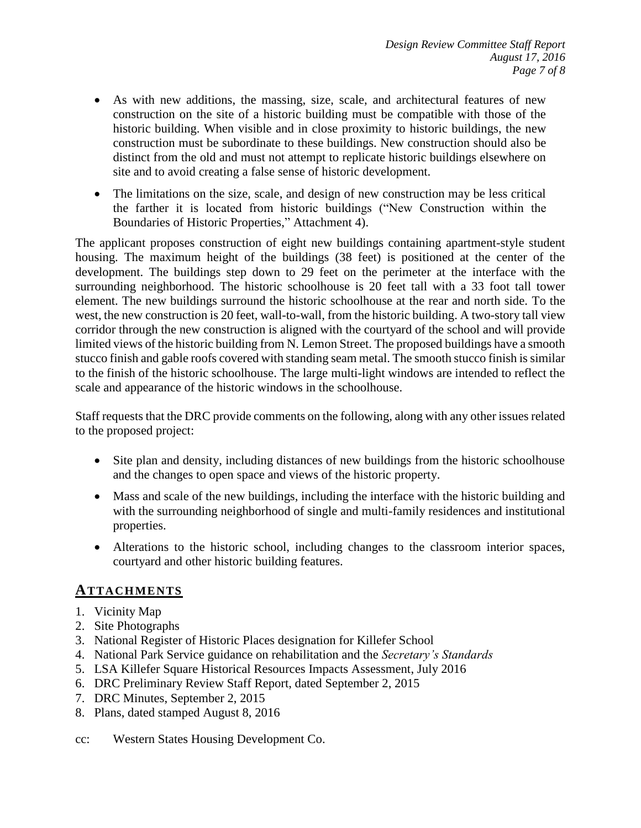- As with new additions, the massing, size, scale, and architectural features of new construction on the site of a historic building must be compatible with those of the historic building. When visible and in close proximity to historic buildings, the new construction must be subordinate to these buildings. New construction should also be distinct from the old and must not attempt to replicate historic buildings elsewhere on site and to avoid creating a false sense of historic development.
- The limitations on the size, scale, and design of new construction may be less critical the farther it is located from historic buildings ("New Construction within the Boundaries of Historic Properties," Attachment 4).

The applicant proposes construction of eight new buildings containing apartment-style student housing. The maximum height of the buildings (38 feet) is positioned at the center of the development. The buildings step down to 29 feet on the perimeter at the interface with the surrounding neighborhood. The historic schoolhouse is 20 feet tall with a 33 foot tall tower element. The new buildings surround the historic schoolhouse at the rear and north side. To the west, the new construction is 20 feet, wall-to-wall, from the historic building. A two-story tall view corridor through the new construction is aligned with the courtyard of the school and will provide limited views of the historic building from N. Lemon Street. The proposed buildings have a smooth stucco finish and gable roofs covered with standing seam metal. The smooth stucco finish is similar to the finish of the historic schoolhouse. The large multi-light windows are intended to reflect the scale and appearance of the historic windows in the schoolhouse.

Staff requests that the DRC provide comments on the following, along with any other issues related to the proposed project:

- Site plan and density, including distances of new buildings from the historic schoolhouse and the changes to open space and views of the historic property.
- Mass and scale of the new buildings, including the interface with the historic building and with the surrounding neighborhood of single and multi-family residences and institutional properties.
- Alterations to the historic school, including changes to the classroom interior spaces, courtyard and other historic building features.

### **ATTACHMENTS**

- 1. Vicinity Map
- 2. Site Photographs
- 3. National Register of Historic Places designation for Killefer School
- 4. National Park Service guidance on rehabilitation and the *Secretary's Standards*
- 5. LSA Killefer Square Historical Resources Impacts Assessment, July 2016
- 6. DRC Preliminary Review Staff Report, dated September 2, 2015
- 7. DRC Minutes, September 2, 2015
- 8. Plans, dated stamped August 8, 2016
- cc: Western States Housing Development Co.